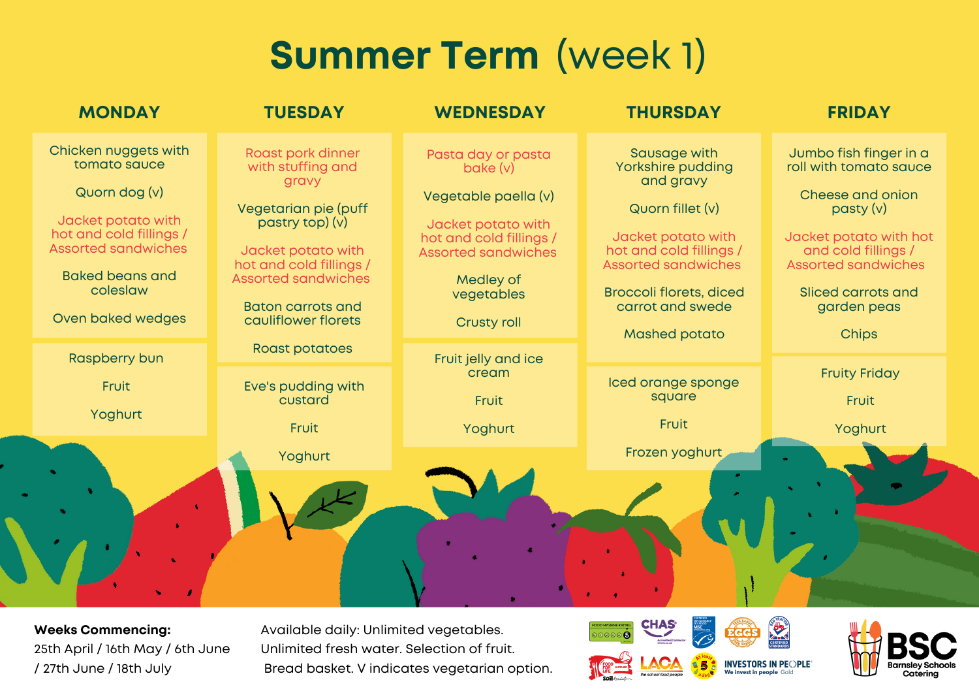## **Summer Term** (week 1)

| <b>MONDAY</b>                                                                                                                                                                                   | <b>TUESDAY</b>                                                                                                                                                                                                               | <b>WEDNESDAY</b>                                                                                                                                                                       | <b>THURSDAY</b>                                                                                                                                                                                                                 | <b>FRIDAY</b>                                                                                                                                                                                                           |
|-------------------------------------------------------------------------------------------------------------------------------------------------------------------------------------------------|------------------------------------------------------------------------------------------------------------------------------------------------------------------------------------------------------------------------------|----------------------------------------------------------------------------------------------------------------------------------------------------------------------------------------|---------------------------------------------------------------------------------------------------------------------------------------------------------------------------------------------------------------------------------|-------------------------------------------------------------------------------------------------------------------------------------------------------------------------------------------------------------------------|
| Chicken nuggets with<br>tomato sauce<br>Quorn dog (v)<br>Jacket potato with<br>hot and cold fillings /<br><b>Assorted sandwiches</b><br><b>Baked beans and</b><br>coleslaw<br>Oven baked wedges | Roast pork dinner<br>with stuffing and<br>gravy<br>Vegetarian pie (puff<br>pastry top) (v)<br>Jacket potato with<br>hot and cold fillings /<br><b>Assorted sandwiches</b><br><b>Baton carrots and</b><br>cauliflower florets | Pasta day or pasta<br>bake (v)<br>Vegetable paella (v)<br>Jacket potato with<br>hot and cold fillings /<br><b>Assorted sandwiches</b><br>Medley of<br>vegetables<br><b>Crusty roll</b> | Sausage with<br>Yorkshire pudding<br>and gravy<br>Quorn fillet (v)<br>Jacket potato with<br>hot and cold fillings /<br><b>Assorted sandwiches</b><br><b>Broccoli florets, diced</b><br>carrot and swede<br><b>Mashed potato</b> | Jumbo fish finger in a<br>roll with tomato sauce<br>Cheese and onion<br>$\text{pasty (v)}$<br>Jacket potato with hot<br>and cold fillings /<br><b>Assorted sandwiches</b><br>Sliced carrots and<br>garden peas<br>Chips |
| <b>Raspberry bun</b><br>Fruit                                                                                                                                                                   | <b>Roast potatoes</b><br>Eve's pudding with                                                                                                                                                                                  | Fruit jelly and ice<br>cream                                                                                                                                                           | Iced orange sponge                                                                                                                                                                                                              | <b>Fruity Friday</b>                                                                                                                                                                                                    |
| Yoghurt                                                                                                                                                                                         | custard<br>Fruit                                                                                                                                                                                                             | Fruit<br>Yoghurt                                                                                                                                                                       | square<br>Fruit                                                                                                                                                                                                                 | Fruit<br>Yoghurt                                                                                                                                                                                                        |
|                                                                                                                                                                                                 | Yoghurt                                                                                                                                                                                                                      |                                                                                                                                                                                        | Frozen yoghurt                                                                                                                                                                                                                  |                                                                                                                                                                                                                         |
|                                                                                                                                                                                                 |                                                                                                                                                                                                                              |                                                                                                                                                                                        |                                                                                                                                                                                                                                 |                                                                                                                                                                                                                         |

**Weeks Commencing:** 25th April / 16th May / 6th June / 27th June / 18th July

Available daily: Unlimited vegetables. Unlimited fresh water. Selection of fruit. Bread basket. V indicates vegetarian option.





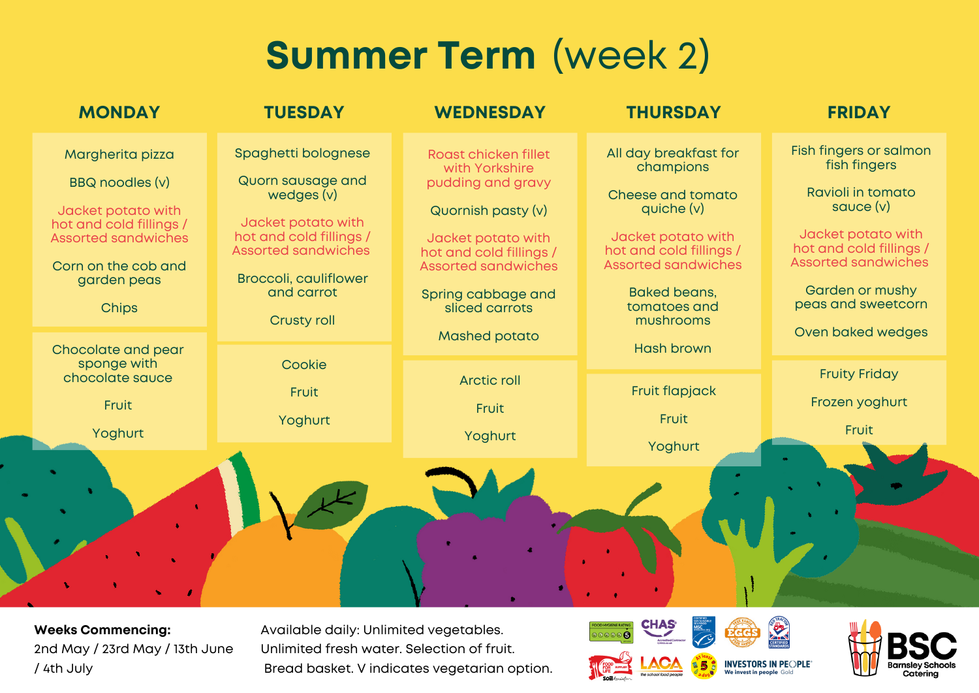## **Summer Term** (week 2)

| <b>MONDAY</b>                                                                                                                                                                                  | <b>TUESDAY</b>                                                                                                                                                                                            | <b>WEDNESDAY</b>                                                                                                                                                                                                                 | <b>THURSDAY</b>                                                                                                                                                                                                                 | <b>FRIDAY</b>                                                                                                                                                                                                           |
|------------------------------------------------------------------------------------------------------------------------------------------------------------------------------------------------|-----------------------------------------------------------------------------------------------------------------------------------------------------------------------------------------------------------|----------------------------------------------------------------------------------------------------------------------------------------------------------------------------------------------------------------------------------|---------------------------------------------------------------------------------------------------------------------------------------------------------------------------------------------------------------------------------|-------------------------------------------------------------------------------------------------------------------------------------------------------------------------------------------------------------------------|
| Margherita pizza<br>BBQ noodles (v)<br>Jacket potato with<br>hot and cold fillings /<br><b>Assorted sandwiches</b><br>Corn on the cob and<br>garden peas<br><b>Chips</b><br>Chocolate and pear | Spaghetti bolognese<br>Quorn sausage and<br>wedges (v)<br>Jacket potato with<br>hot and cold fillings /<br><b>Assorted sandwiches</b><br><b>Broccoli, cauliflower</b><br>and carrot<br><b>Crusty roll</b> | Roast chicken fillet<br>with Yorkshire<br>pudding and gravy<br>Quornish pasty (v)<br>Jacket potato with<br>hot and cold fillings /<br><b>Assorted sandwiches</b><br>Spring cabbage and<br>sliced carrots<br><b>Mashed potato</b> | All day breakfast for<br>champions<br>Cheese and tomato<br>quiche $(v)$<br>Jacket potato with<br>hot and cold fillings /<br><b>Assorted sandwiches</b><br><b>Baked beans,</b><br>tomatoes and<br>mushrooms<br><b>Hash brown</b> | Fish fingers or salmon<br>fish fingers<br>Ravioli in tomato<br>sauce $(v)$<br>Jacket potato with<br>hot and cold fillings /<br><b>Assorted sandwiches</b><br>Garden or mushy<br>peas and sweetcorn<br>Oven baked wedges |
| sponge with<br>chocolate sauce<br>Fruit<br>Yoghurt                                                                                                                                             | Cookie<br>Fruit<br>Yoghurt                                                                                                                                                                                | <b>Arctic roll</b><br>Fruit<br>Yoghurt                                                                                                                                                                                           | Fruit flapjack<br>Fruit<br>Yoghurt                                                                                                                                                                                              | <b>Fruity Friday</b><br>Frozen yoghurt<br>Fruit                                                                                                                                                                         |
|                                                                                                                                                                                                |                                                                                                                                                                                                           |                                                                                                                                                                                                                                  |                                                                                                                                                                                                                                 |                                                                                                                                                                                                                         |

**Weeks Commencing:** 2nd May / 23rd May / 13th June / 4th July

Available daily: Unlimited vegetables. Unlimited fresh water. Selection of fruit. Bread basket. V indicates vegetarian option.